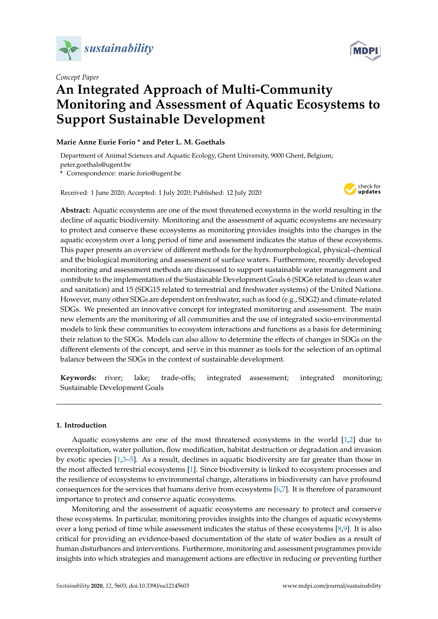

*Concept Paper*

# **MDPI**

# **An Integrated Approach of Multi-Community Monitoring and Assessment of Aquatic Ecosystems to Support Sustainable Development**

# **Marie Anne Eurie Forio \* and Peter L. M. Goethals**

Department of Animal Sciences and Aquatic Ecology, Ghent University, 9000 Ghent, Belgium; peter.goethals@ugent.be

**\*** Correspondence: marie.forio@ugent.be

Received: 1 June 2020; Accepted: 1 July 2020; Published: 12 July 2020



**Abstract:** Aquatic ecosystems are one of the most threatened ecosystems in the world resulting in the decline of aquatic biodiversity. Monitoring and the assessment of aquatic ecosystems are necessary to protect and conserve these ecosystems as monitoring provides insights into the changes in the aquatic ecosystem over a long period of time and assessment indicates the status of these ecosystems. This paper presents an overview of different methods for the hydromorphological, physical–chemical and the biological monitoring and assessment of surface waters. Furthermore, recently developed monitoring and assessment methods are discussed to support sustainable water management and contribute to the implementation of the Sustainable Development Goals 6 (SDG6 related to clean water and sanitation) and 15 (SDG15 related to terrestrial and freshwater systems) of the United Nations. However, many other SDGs are dependent on freshwater, such as food (e.g., SDG2) and climate-related SDGs. We presented an innovative concept for integrated monitoring and assessment. The main new elements are the monitoring of all communities and the use of integrated socio-environmental models to link these communities to ecosystem interactions and functions as a basis for determining their relation to the SDGs. Models can also allow to determine the effects of changes in SDGs on the different elements of the concept, and serve in this manner as tools for the selection of an optimal balance between the SDGs in the context of sustainable development.

**Keywords:** river; lake; trade-offs; integrated assessment; integrated monitoring; Sustainable Development Goals

# **1. Introduction**

Aquatic ecosystems are one of the most threatened ecosystems in the world [\[1](#page-11-0)[,2\]](#page-11-1) due to overexploitation, water pollution, flow modification, habitat destruction or degradation and invasion by exotic species [\[1](#page-11-0)[,3](#page-11-2)[–5\]](#page-11-3). As a result, declines in aquatic biodiversity are far greater than those in the most affected terrestrial ecosystems [\[1\]](#page-11-0). Since biodiversity is linked to ecosystem processes and the resilience of ecosystems to environmental change, alterations in biodiversity can have profound consequences for the services that humans derive from ecosystems [\[6,](#page-11-4)[7\]](#page-11-5). It is therefore of paramount importance to protect and conserve aquatic ecosystems.

Monitoring and the assessment of aquatic ecosystems are necessary to protect and conserve these ecosystems. In particular, monitoring provides insights into the changes of aquatic ecosystems over a long period of time while assessment indicates the status of these ecosystems [\[8](#page-11-6)[,9\]](#page-11-7). It is also critical for providing an evidence-based documentation of the state of water bodies as a result of human disturbances and interventions. Furthermore, monitoring and assessment programmes provide insights into which strategies and management actions are effective in reducing or preventing further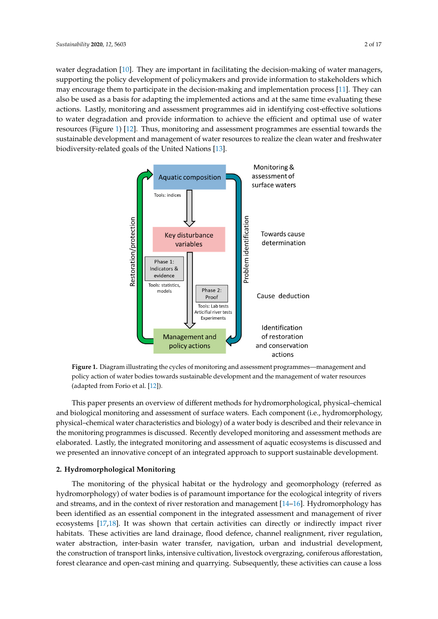water degradation [\[10\]](#page-12-0). They are important in facilitating the decision-making of water managers, supporting the policy development of policymakers and provide information to stakeholders which may encourage them to participate in the decision-making and implementation process [\[11\]](#page-12-1). They can also be used as a basis for adapting the implemented actions and at the same time evaluating these actions. Lastly, monitoring and assessment programmes aid in identifying cost-effective solutions to water degradation and provide information to achieve the efficient and optimal use of water resources (Figure [1\)](#page-1-0) [\[12\]](#page-12-2). Thus, monitoring and assessment programmes are essential towards the sustainable development and management of water resources to realize the clean water and freshwater biodiversity-related goals of the United Nations [\[13\]](#page-12-3).

<span id="page-1-0"></span>

policy action of water bodies towards sustainable development and the management of water resources (adapted from Forio et al. [\[12\]](#page-12-2)). **Figure 1.** Diagram illustrating the cycles of monitoring and assessment programmes—management and

and biological monitoring and assessment of surface waters. Each component (i.e., hydromorphology, physical-chemical water characteristics and biology) of a water body is described and their relevance in the monitoring programmes is discussed. Recently developed monitoring and assessment methods are elaborated. Lastly, the integrated monitoring and assessment of aquatic ecosystems is discussed and we presented an innovative concept of an integrated approach to support sustainable development. This paper presents an overview of different methods for hydromorphological, physical–chemical

# **2. Hydromorphological Monitoring**

(adapted from Forio et al. [12]).

The monitoring of the physical habitat or the hydrology and geomorphology (referred as hydromorphology) of water bodies is of paramount importance for the ecological integrity of rivers and streams, and in the context of river restoration and management  $[14–16]$ . Hydromorpho[log](#page-12-5)y has been identified as an essential component in the integrated assessment and management of river ecosystems [17,18]. It was shown that certain activities can directly or indirectly impact river habitats. These activities are land drainage, flood defence, channel realignment, river regulation, water abstraction, inter-basin water transfer, navigation, urban and industrial development, the construction of transport links, intensive cultivation, livestock overgrazing, coniferous afforestation, forest clearance and open-cast mining and quarrying. Subsequently, these activities can cause a loss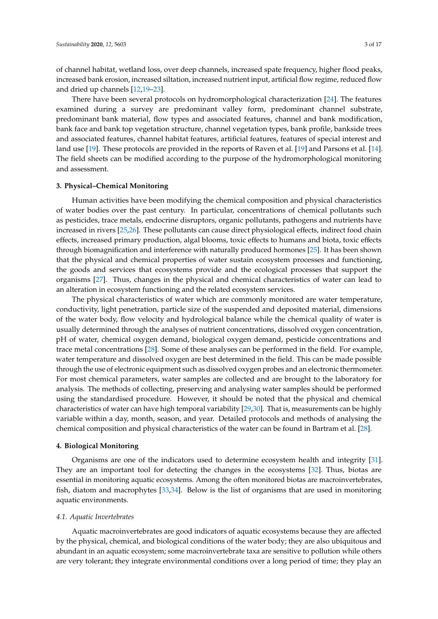of channel habitat, wetland loss, over deep channels, increased spate frequency, higher flood peaks,

increased bank erosion, increased siltation, increased nutrient input, artificial flow regime, reduced flow and dried up channels [\[12,](#page-12-2)[19–](#page-12-8)[23\]](#page-12-9).

There have been several protocols on hydromorphological characterization [\[24\]](#page-12-10). The features examined during a survey are predominant valley form, predominant channel substrate, predominant bank material, flow types and associated features, channel and bank modification, bank face and bank top vegetation structure, channel vegetation types, bank profile, bankside trees and associated features, channel habitat features, artificial features, features of special interest and land use [\[19\]](#page-12-8). These protocols are provided in the reports of Raven et al. [\[19\]](#page-12-8) and Parsons et al. [\[14\]](#page-12-4). The field sheets can be modified according to the purpose of the hydromorphological monitoring and assessment.

# **3. Physical–Chemical Monitoring**

Human activities have been modifying the chemical composition and physical characteristics of water bodies over the past century. In particular, concentrations of chemical pollutants such as pesticides, trace metals, endocrine disruptors, organic pollutants, pathogens and nutrients have increased in rivers [\[25](#page-12-11)[,26\]](#page-12-12). These pollutants can cause direct physiological effects, indirect food chain effects, increased primary production, algal blooms, toxic effects to humans and biota, toxic effects through biomagnification and interference with naturally produced hormones [\[25\]](#page-12-11). It has been shown that the physical and chemical properties of water sustain ecosystem processes and functioning, the goods and services that ecosystems provide and the ecological processes that support the organisms [\[27\]](#page-12-13). Thus, changes in the physical and chemical characteristics of water can lead to an alteration in ecosystem functioning and the related ecosystem services.

The physical characteristics of water which are commonly monitored are water temperature, conductivity, light penetration, particle size of the suspended and deposited material, dimensions of the water body, flow velocity and hydrological balance while the chemical quality of water is usually determined through the analyses of nutrient concentrations, dissolved oxygen concentration, pH of water, chemical oxygen demand, biological oxygen demand, pesticide concentrations and trace metal concentrations [\[28\]](#page-12-14). Some of these analyses can be performed in the field. For example, water temperature and dissolved oxygen are best determined in the field. This can be made possible through the use of electronic equipment such as dissolved oxygen probes and an electronic thermometer. For most chemical parameters, water samples are collected and are brought to the laboratory for analysis. The methods of collecting, preserving and analysing water samples should be performed using the standardised procedure. However, it should be noted that the physical and chemical characteristics of water can have high temporal variability [\[29](#page-13-0)[,30\]](#page-13-1). That is, measurements can be highly variable within a day, month, season, and year. Detailed protocols and methods of analysing the chemical composition and physical characteristics of the water can be found in Bartram et al. [\[28\]](#page-12-14).

# **4. Biological Monitoring**

Organisms are one of the indicators used to determine ecosystem health and integrity [\[31\]](#page-13-2). They are an important tool for detecting the changes in the ecosystems [\[32\]](#page-13-3). Thus, biotas are essential in monitoring aquatic ecosystems. Among the often monitored biotas are macroinvertebrates, fish, diatom and macrophytes [\[33](#page-13-4)[,34\]](#page-13-5). Below is the list of organisms that are used in monitoring aquatic environments.

# *4.1. Aquatic Invertebrates*

Aquatic macroinvertebrates are good indicators of aquatic ecosystems because they are affected by the physical, chemical, and biological conditions of the water body; they are also ubiquitous and abundant in an aquatic ecosystem; some macroinvertebrate taxa are sensitive to pollution while others are very tolerant; they integrate environmental conditions over a long period of time; they play an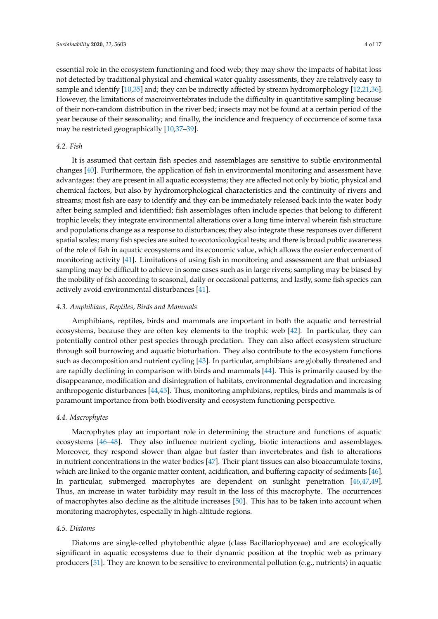essential role in the ecosystem functioning and food web; they may show the impacts of habitat loss not detected by traditional physical and chemical water quality assessments, they are relatively easy to sample and identify [\[10,](#page-12-0)[35\]](#page-13-6) and; they can be indirectly affected by stream hydromorphology [\[12](#page-12-2)[,21](#page-12-15)[,36\]](#page-13-7). However, the limitations of macroinvertebrates include the difficulty in quantitative sampling because of their non-random distribution in the river bed; insects may not be found at a certain period of the year because of their seasonality; and finally, the incidence and frequency of occurrence of some taxa may be restricted geographically [\[10](#page-12-0)[,37–](#page-13-8)[39\]](#page-13-9).

#### *4.2. Fish*

It is assumed that certain fish species and assemblages are sensitive to subtle environmental changes [\[40\]](#page-13-10). Furthermore, the application of fish in environmental monitoring and assessment have advantages: they are present in all aquatic ecosystems; they are affected not only by biotic, physical and chemical factors, but also by hydromorphological characteristics and the continuity of rivers and streams; most fish are easy to identify and they can be immediately released back into the water body after being sampled and identified; fish assemblages often include species that belong to different trophic levels; they integrate environmental alterations over a long time interval wherein fish structure and populations change as a response to disturbances; they also integrate these responses over different spatial scales; many fish species are suited to ecotoxicological tests; and there is broad public awareness of the role of fish in aquatic ecosystems and its economic value, which allows the easier enforcement of monitoring activity [\[41\]](#page-13-11). Limitations of using fish in monitoring and assessment are that unbiased sampling may be difficult to achieve in some cases such as in large rivers; sampling may be biased by the mobility of fish according to seasonal, daily or occasional patterns; and lastly, some fish species can actively avoid environmental disturbances [\[41\]](#page-13-11).

#### *4.3. Amphibians, Reptiles, Birds and Mammals*

Amphibians, reptiles, birds and mammals are important in both the aquatic and terrestrial ecosystems, because they are often key elements to the trophic web [\[42\]](#page-13-12). In particular, they can potentially control other pest species through predation. They can also affect ecosystem structure through soil burrowing and aquatic bioturbation. They also contribute to the ecosystem functions such as decomposition and nutrient cycling [\[43\]](#page-13-13). In particular, amphibians are globally threatened and are rapidly declining in comparison with birds and mammals [\[44\]](#page-13-14). This is primarily caused by the disappearance, modification and disintegration of habitats, environmental degradation and increasing anthropogenic disturbances [\[44,](#page-13-14)[45\]](#page-13-15). Thus, monitoring amphibians, reptiles, birds and mammals is of paramount importance from both biodiversity and ecosystem functioning perspective.

# *4.4. Macrophytes*

Macrophytes play an important role in determining the structure and functions of aquatic ecosystems [\[46](#page-13-16)[–48\]](#page-13-17). They also influence nutrient cycling, biotic interactions and assemblages. Moreover, they respond slower than algae but faster than invertebrates and fish to alterations in nutrient concentrations in the water bodies [\[47\]](#page-13-18). Their plant tissues can also bioaccumulate toxins, which are linked to the organic matter content, acidification, and buffering capacity of sediments [\[46\]](#page-13-16). In particular, submerged macrophytes are dependent on sunlight penetration [\[46,](#page-13-16)[47,](#page-13-18)[49\]](#page-13-19). Thus, an increase in water turbidity may result in the loss of this macrophyte. The occurrences of macrophytes also decline as the altitude increases [\[50\]](#page-13-20). This has to be taken into account when monitoring macrophytes, especially in high-altitude regions.

# *4.5. Diatoms*

Diatoms are single-celled phytobenthic algae (class Bacillariophyceae) and are ecologically significant in aquatic ecosystems due to their dynamic position at the trophic web as primary producers [\[51\]](#page-14-0). They are known to be sensitive to environmental pollution (e.g., nutrients) in aquatic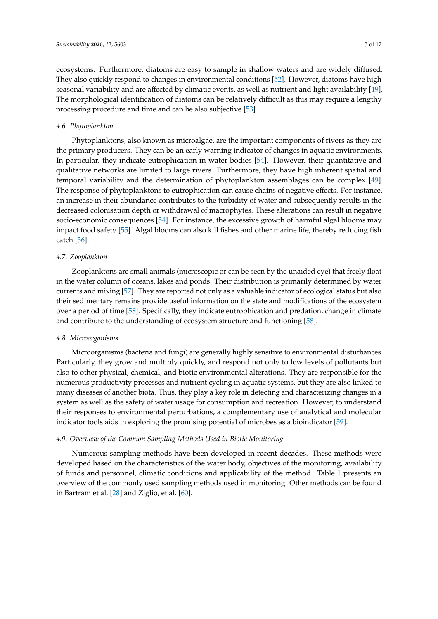ecosystems. Furthermore, diatoms are easy to sample in shallow waters and are widely diffused. They also quickly respond to changes in environmental conditions [\[52\]](#page-14-1). However, diatoms have high seasonal variability and are affected by climatic events, as well as nutrient and light availability [\[49\]](#page-13-19). The morphological identification of diatoms can be relatively difficult as this may require a lengthy processing procedure and time and can be also subjective [\[53\]](#page-14-2).

# *4.6. Phytoplankton*

Phytoplanktons, also known as microalgae, are the important components of rivers as they are the primary producers. They can be an early warning indicator of changes in aquatic environments. In particular, they indicate eutrophication in water bodies [\[54\]](#page-14-3). However, their quantitative and qualitative networks are limited to large rivers. Furthermore, they have high inherent spatial and temporal variability and the determination of phytoplankton assemblages can be complex [\[49\]](#page-13-19). The response of phytoplanktons to eutrophication can cause chains of negative effects. For instance, an increase in their abundance contributes to the turbidity of water and subsequently results in the decreased colonisation depth or withdrawal of macrophytes. These alterations can result in negative socio-economic consequences [\[54\]](#page-14-3). For instance, the excessive growth of harmful algal blooms may impact food safety [\[55\]](#page-14-4). Algal blooms can also kill fishes and other marine life, thereby reducing fish catch [\[56\]](#page-14-5).

# *4.7. Zooplankton*

Zooplanktons are small animals (microscopic or can be seen by the unaided eye) that freely float in the water column of oceans, lakes and ponds. Their distribution is primarily determined by water currents and mixing [\[57\]](#page-14-6). They are reported not only as a valuable indicator of ecological status but also their sedimentary remains provide useful information on the state and modifications of the ecosystem over a period of time [\[58\]](#page-14-7). Specifically, they indicate eutrophication and predation, change in climate and contribute to the understanding of ecosystem structure and functioning [\[58\]](#page-14-7).

# *4.8. Microorganisms*

Microorganisms (bacteria and fungi) are generally highly sensitive to environmental disturbances. Particularly, they grow and multiply quickly, and respond not only to low levels of pollutants but also to other physical, chemical, and biotic environmental alterations. They are responsible for the numerous productivity processes and nutrient cycling in aquatic systems, but they are also linked to many diseases of another biota. Thus, they play a key role in detecting and characterizing changes in a system as well as the safety of water usage for consumption and recreation. However, to understand their responses to environmental perturbations, a complementary use of analytical and molecular indicator tools aids in exploring the promising potential of microbes as a bioindicator [\[59\]](#page-14-8).

# *4.9. Overview of the Common Sampling Methods Used in Biotic Monitoring*

Numerous sampling methods have been developed in recent decades. These methods were developed based on the characteristics of the water body, objectives of the monitoring, availability of funds and personnel, climatic conditions and applicability of the method. Table [1](#page-5-0) presents an overview of the commonly used sampling methods used in monitoring. Other methods can be found in Bartram et al. [\[28\]](#page-12-14) and Ziglio, et al. [\[60\]](#page-14-9).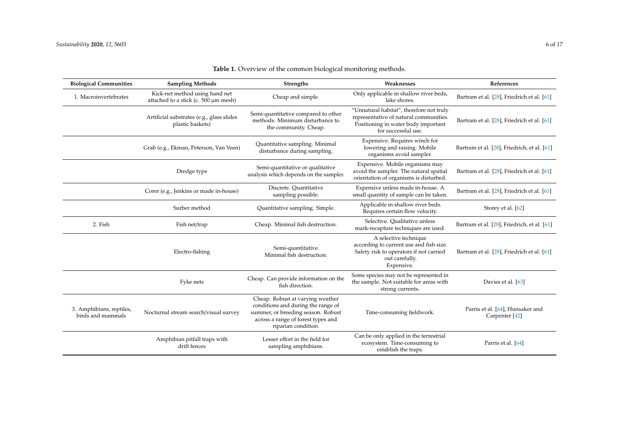<span id="page-5-0"></span>

| <b>Biological Communities</b>                 | <b>Sampling Methods</b>                                                | <b>Strengths</b>                                                                                                                                                          | Weaknesses                                                                                                                                       | References                                                    |
|-----------------------------------------------|------------------------------------------------------------------------|---------------------------------------------------------------------------------------------------------------------------------------------------------------------------|--------------------------------------------------------------------------------------------------------------------------------------------------|---------------------------------------------------------------|
| 1. Macroinvertebrates                         | Kick-net method using hand net<br>attached to a stick (c. 500 µm mesh) | Cheap and simple.                                                                                                                                                         | Only applicable in shallow river beds,<br>lake shores.                                                                                           | Bartram et al. [28], Friedrich et al. [61]                    |
|                                               | Artificial substrates (e.g., glass slides<br>plastic baskets)          | Semi-quantitative compared to other<br>methods. Minimum disturbance to<br>the community. Cheap.                                                                           | "Unnatural habitat", therefore not truly<br>representative of natural communities.<br>Positioning in water body important<br>for successful use. | Bartram et al. [28], Friedrich et al. [61]                    |
|                                               | Grab (e.g., Ekman, Peterson, Van Veen)                                 | Quantitative sampling. Minimal<br>disturbance during sampling.                                                                                                            | Expensive. Requires winch for<br>lowering and raising. Mobile<br>organisms avoid sampler.                                                        | Bartram et al. [28], Friedrich, et al. [61]                   |
|                                               | Dredge type                                                            | Semi-quantitative or qualitative<br>analysis which depends on the sampler.                                                                                                | Expensive. Mobile organisms may<br>avoid the sampler. The natural spatial<br>orientation of organisms is disturbed.                              | Bartram et al. [28], Friedrich et al. [61]                    |
|                                               | Corer (e.g., Jenkins or made in-house)                                 | Discrete. Quantitative<br>sampling possible.                                                                                                                              | Expensive unless made in-house. A<br>small quantity of sample can be taken.                                                                      | Bartram et al. [28], Friedrich et al. [61]                    |
|                                               | Surber method                                                          | Quantitative sampling. Simple.                                                                                                                                            | Applicable in shallow river beds.<br>Requires certain flow velocity.                                                                             | Storey et al. [62]                                            |
| 2. Fish                                       | Fish net/trap                                                          | Cheap. Minimal fish destruction.                                                                                                                                          | Selective. Qualitative unless<br>mark-recapture techniques are used.                                                                             | Bartram et al. [28], Friedrich, et al. [61]                   |
|                                               | Electro-fishing                                                        | Semi-quantitative.<br>Minimal fish destruction.                                                                                                                           | A selective technique<br>according to current use and fish size.<br>Safety risk to operators if not carried<br>out carefully.<br>Expensive.      | Bartram et al. [28], Friedrich et al. [61]                    |
|                                               | Fyke nets                                                              | Cheap. Can provide information on the<br>fish direction.                                                                                                                  | Some species may not be represented in<br>the sample. Not suitable for areas with<br>strong currents.                                            | Davies et al. [63]                                            |
| 3. Amphibians, reptiles,<br>birds and mammals | Nocturnal stream search/visual survey                                  | Cheap. Robust at varying weather<br>conditions and during the range of<br>summer, or breeding season. Robust<br>across a range of forest types and<br>riparian condition. | Time-consuming fieldwork.                                                                                                                        | Parris et al. [64], Hunsaker and<br>Carpenter <sup>[42]</sup> |
|                                               | Amphibian pitfall traps with<br>drift fences                           | Lesser effort in the field for<br>sampling amphibians.                                                                                                                    | Can be only applied in the terrestrial<br>ecosystem. Time-consuming to<br>establish the traps.                                                   | Parris et al. [64]                                            |

**Table 1.** Overview of the common biological monitoring methods.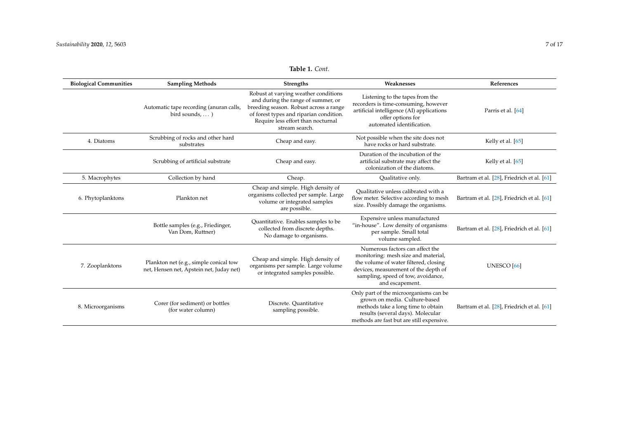| <b>Biological Communities</b> | <b>Sampling Methods</b>                                                            | <b>Strengths</b>                                                                                                                                                                                                        | Weaknesses                                                                                                                                                                                                       | References                                 |
|-------------------------------|------------------------------------------------------------------------------------|-------------------------------------------------------------------------------------------------------------------------------------------------------------------------------------------------------------------------|------------------------------------------------------------------------------------------------------------------------------------------------------------------------------------------------------------------|--------------------------------------------|
|                               | Automatic tape recording (anuran calls,<br>bird sounds, $\dots$ )                  | Robust at varying weather conditions<br>and during the range of summer, or<br>breeding season. Robust across a range<br>of forest types and riparian condition.<br>Require less effort than nocturnal<br>stream search. | Listening to the tapes from the<br>recorders is time-consuming, however<br>artificial intelligence (AI) applications<br>offer options for<br>automated identification.                                           | Parris et al. [64]                         |
| 4. Diatoms                    | Scrubbing of rocks and other hard<br>substrates                                    | Cheap and easy.                                                                                                                                                                                                         | Not possible when the site does not<br>have rocks or hard substrate.                                                                                                                                             | Kelly et al. [65]                          |
|                               | Scrubbing of artificial substrate                                                  | Cheap and easy.                                                                                                                                                                                                         | Duration of the incubation of the<br>artificial substrate may affect the<br>colonization of the diatoms.                                                                                                         | Kelly et al. [65]                          |
| 5. Macrophytes                | Collection by hand                                                                 | Cheap.                                                                                                                                                                                                                  | Qualitative only.                                                                                                                                                                                                | Bartram et al. [28], Friedrich et al. [61] |
| 6. Phytoplanktons             | Plankton net                                                                       | Cheap and simple. High density of<br>organisms collected per sample. Large<br>volume or integrated samples<br>are possible.                                                                                             | Qualitative unless calibrated with a<br>flow meter. Selective according to mesh<br>size. Possibly damage the organisms.                                                                                          | Bartram et al. [28], Friedrich et al. [61] |
|                               | Bottle samples (e.g., Friedinger,<br>Van Dom, Ruttner)                             | Quantitative. Enables samples to be<br>collected from discrete depths.<br>No damage to organisms.                                                                                                                       | Expensive unless manufactured<br>"in-house". Low density of organisms<br>per sample. Small total<br>volume sampled.                                                                                              | Bartram et al. [28], Friedrich et al. [61] |
| 7. Zooplanktons               | Plankton net (e.g., simple conical tow<br>net, Hensen net, Apstein net, Juday net) | Cheap and simple. High density of<br>organisms per sample. Large volume<br>or integrated samples possible.                                                                                                              | Numerous factors can affect the<br>monitoring: mesh size and material,<br>the volume of water filtered, closing<br>devices, measurement of the depth of<br>sampling, speed of tow, avoidance,<br>and escapement. | UNESCO <sup>[66]</sup>                     |
| 8. Microorganisms             | Corer (for sediment) or bottles<br>(for water column)                              | Discrete. Quantitative<br>sampling possible.                                                                                                                                                                            | Only part of the microorganisms can be<br>grown on media. Culture-based<br>methods take a long time to obtain<br>results (several days). Molecular<br>methods are fast but are still expensive.                  | Bartram et al. [28], Friedrich et al. [61] |

**Table 1.** *Cont.*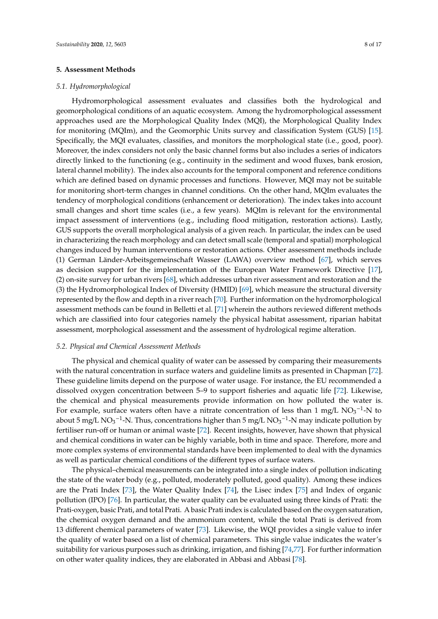# **5. Assessment Methods**

# *5.1. Hydromorphological*

Hydromorphological assessment evaluates and classifies both the hydrological and geomorphological conditions of an aquatic ecosystem. Among the hydromorphological assessment approaches used are the Morphological Quality Index (MQI), the Morphological Quality Index for monitoring (MQIm), and the Geomorphic Units survey and classification System (GUS) [\[15\]](#page-12-17). Specifically, the MQI evaluates, classifies, and monitors the morphological state (i.e., good, poor). Moreover, the index considers not only the basic channel forms but also includes a series of indicators directly linked to the functioning (e.g., continuity in the sediment and wood fluxes, bank erosion, lateral channel mobility). The index also accounts for the temporal component and reference conditions which are defined based on dynamic processes and functions. However, MQI may not be suitable for monitoring short-term changes in channel conditions. On the other hand, MQIm evaluates the tendency of morphological conditions (enhancement or deterioration). The index takes into account small changes and short time scales (i.e., a few years). MQIm is relevant for the environmental impact assessment of interventions (e.g., including flood mitigation, restoration actions). Lastly, GUS supports the overall morphological analysis of a given reach. In particular, the index can be used in characterizing the reach morphology and can detect small scale (temporal and spatial) morphological changes induced by human interventions or restoration actions. Other assessment methods include (1) German Länder-Arbeitsgemeinschaft Wasser (LAWA) overview method [\[67\]](#page-14-16), which serves as decision support for the implementation of the European Water Framework Directive [\[17\]](#page-12-6), (2) on-site survey for urban rivers [\[68\]](#page-14-17), which addresses urban river assessment and restoration and the (3) the Hydromorphological Index of Diversity (HMID) [\[69\]](#page-14-18), which measure the structural diversity represented by the flow and depth in a river reach [\[70\]](#page-14-19). Further information on the hydromorphological assessment methods can be found in Belletti et al. [\[71\]](#page-14-20) wherein the authors reviewed different methods which are classified into four categories namely the physical habitat assessment, riparian habitat assessment, morphological assessment and the assessment of hydrological regime alteration.

#### *5.2. Physical and Chemical Assessment Methods*

The physical and chemical quality of water can be assessed by comparing their measurements with the natural concentration in surface waters and guideline limits as presented in Chapman [\[72\]](#page-14-21). These guideline limits depend on the purpose of water usage. For instance, the EU recommended a dissolved oxygen concentration between 5–9 to support fisheries and aquatic life [\[72\]](#page-14-21). Likewise, the chemical and physical measurements provide information on how polluted the water is. For example, surface waters often have a nitrate concentration of less than 1 mg/L  $NO<sub>3</sub><sup>-1</sup>-N$  to about 5 mg/L NO<sub>3</sub><sup>-1</sup>-N. Thus, concentrations higher than 5 mg/L NO<sub>3</sub><sup>-1</sup>-N may indicate pollution by fertiliser run-off or human or animal waste [\[72\]](#page-14-21). Recent insights, however, have shown that physical and chemical conditions in water can be highly variable, both in time and space. Therefore, more and more complex systems of environmental standards have been implemented to deal with the dynamics as well as particular chemical conditions of the different types of surface waters.

The physical–chemical measurements can be integrated into a single index of pollution indicating the state of the water body (e.g., polluted, moderately polluted, good quality). Among these indices are the Prati Index [\[73\]](#page-14-22), the Water Quality Index [\[74\]](#page-14-23), the Lisec index [\[75\]](#page-15-0) and Index of organic pollution (IPO) [\[76\]](#page-15-1). In particular, the water quality can be evaluated using three kinds of Prati: the Prati-oxygen, basic Prati, and total Prati. A basic Prati index is calculated based on the oxygen saturation, the chemical oxygen demand and the ammonium content, while the total Prati is derived from 13 different chemical parameters of water [\[73\]](#page-14-22). Likewise, the WQI provides a single value to infer the quality of water based on a list of chemical parameters. This single value indicates the water's suitability for various purposes such as drinking, irrigation, and fishing [\[74](#page-14-23)[,77\]](#page-15-2). For further information on other water quality indices, they are elaborated in Abbasi and Abbasi [\[78\]](#page-15-3).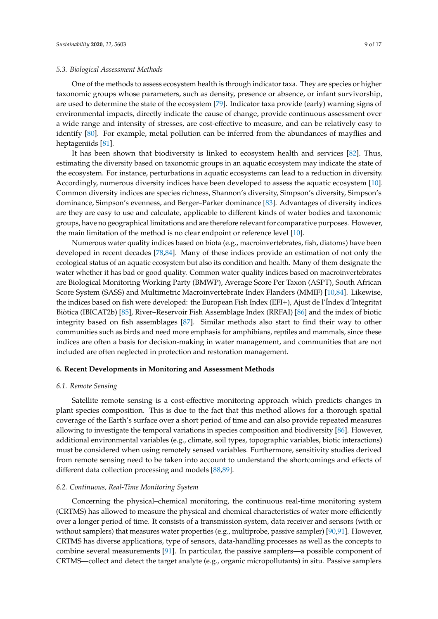One of the methods to assess ecosystem health is through indicator taxa. They are species or higher taxonomic groups whose parameters, such as density, presence or absence, or infant survivorship, are used to determine the state of the ecosystem [\[79\]](#page-15-4). Indicator taxa provide (early) warning signs of environmental impacts, directly indicate the cause of change, provide continuous assessment over a wide range and intensity of stresses, are cost-effective to measure, and can be relatively easy to identify [\[80\]](#page-15-5). For example, metal pollution can be inferred from the abundances of mayflies and heptageniids [\[81\]](#page-15-6).

It has been shown that biodiversity is linked to ecosystem health and services [\[82\]](#page-15-7). Thus, estimating the diversity based on taxonomic groups in an aquatic ecosystem may indicate the state of the ecosystem. For instance, perturbations in aquatic ecosystems can lead to a reduction in diversity. Accordingly, numerous diversity indices have been developed to assess the aquatic ecosystem [\[10\]](#page-12-0). Common diversity indices are species richness, Shannon's diversity, Simpson's diversity, Simpson's dominance, Simpson's evenness, and Berger–Parker dominance [\[83\]](#page-15-8). Advantages of diversity indices are they are easy to use and calculate, applicable to different kinds of water bodies and taxonomic groups, have no geographical limitations and are therefore relevant for comparative purposes. However, the main limitation of the method is no clear endpoint or reference level [\[10\]](#page-12-0).

Numerous water quality indices based on biota (e.g., macroinvertebrates, fish, diatoms) have been developed in recent decades [\[78,](#page-15-3)[84\]](#page-15-9). Many of these indices provide an estimation of not only the ecological status of an aquatic ecosystem but also its condition and health. Many of them designate the water whether it has bad or good quality. Common water quality indices based on macroinvertebrates are Biological Monitoring Working Party (BMWP), Average Score Per Taxon (ASPT), South African Score System (SASS) and Multimetric Macroinvertebrate Index Flanders (MMIF) [\[10](#page-12-0)[,84\]](#page-15-9). Likewise, the indices based on fish were developed: the European Fish Index (EFI+), Ajust de l'Índex d'Integritat Biòtica (IBICAT2b) [\[85\]](#page-15-10), River–Reservoir Fish Assemblage Index (RRFAI) [\[86\]](#page-15-11) and the index of biotic integrity based on fish assemblages [\[87\]](#page-15-12). Similar methods also start to find their way to other communities such as birds and need more emphasis for amphibians, reptiles and mammals, since these indices are often a basis for decision-making in water management, and communities that are not included are often neglected in protection and restoration management.

# **6. Recent Developments in Monitoring and Assessment Methods**

#### *6.1. Remote Sensing*

Satellite remote sensing is a cost-effective monitoring approach which predicts changes in plant species composition. This is due to the fact that this method allows for a thorough spatial coverage of the Earth's surface over a short period of time and can also provide repeated measures allowing to investigate the temporal variations in species composition and biodiversity [\[86\]](#page-15-11). However, additional environmental variables (e.g., climate, soil types, topographic variables, biotic interactions) must be considered when using remotely sensed variables. Furthermore, sensitivity studies derived from remote sensing need to be taken into account to understand the shortcomings and effects of different data collection processing and models [\[88](#page-15-13)[,89\]](#page-15-14).

# *6.2. Continuous, Real-Time Monitoring System*

Concerning the physical–chemical monitoring, the continuous real-time monitoring system (CRTMS) has allowed to measure the physical and chemical characteristics of water more efficiently over a longer period of time. It consists of a transmission system, data receiver and sensors (with or without samplers) that measures water properties (e.g., multiprobe, passive sampler) [\[90](#page-15-15)[,91\]](#page-15-16). However, CRTMS has diverse applications, type of sensors, data-handling processes as well as the concepts to combine several measurements [\[91\]](#page-15-16). In particular, the passive samplers—a possible component of CRTMS—collect and detect the target analyte (e.g., organic micropollutants) in situ. Passive samplers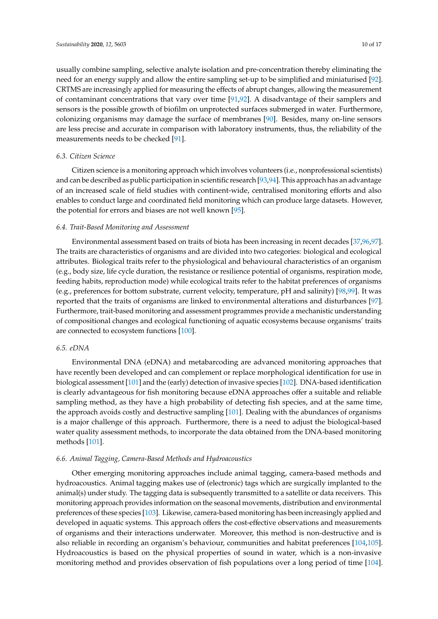usually combine sampling, selective analyte isolation and pre-concentration thereby eliminating the need for an energy supply and allow the entire sampling set-up to be simplified and miniaturised [\[92\]](#page-15-17). CRTMS are increasingly applied for measuring the effects of abrupt changes, allowing the measurement of contaminant concentrations that vary over time  $[91,92]$  $[91,92]$ . A disadvantage of their samplers and sensors is the possible growth of biofilm on unprotected surfaces submerged in water. Furthermore, colonizing organisms may damage the surface of membranes [\[90\]](#page-15-15). Besides, many on-line sensors are less precise and accurate in comparison with laboratory instruments, thus, the reliability of the measurements needs to be checked [\[91\]](#page-15-16).

# *6.3. Citizen Science*

Citizen science is a monitoring approach which involves volunteers (i.e., nonprofessional scientists) and can be described as public participation in scientific research [\[93,](#page-15-18)[94\]](#page-15-19). This approach has an advantage of an increased scale of field studies with continent-wide, centralised monitoring efforts and also enables to conduct large and coordinated field monitoring which can produce large datasets. However, the potential for errors and biases are not well known [\[95\]](#page-15-20).

#### *6.4. Trait-Based Monitoring and Assessment*

Environmental assessment based on traits of biota has been increasing in recent decades [\[37](#page-13-8)[,96](#page-15-21)[,97\]](#page-16-0). The traits are characteristics of organisms and are divided into two categories: biological and ecological attributes. Biological traits refer to the physiological and behavioural characteristics of an organism (e.g., body size, life cycle duration, the resistance or resilience potential of organisms, respiration mode, feeding habits, reproduction mode) while ecological traits refer to the habitat preferences of organisms (e.g., preferences for bottom substrate, current velocity, temperature, pH and salinity) [\[98,](#page-16-1)[99\]](#page-16-2). It was reported that the traits of organisms are linked to environmental alterations and disturbances [\[97\]](#page-16-0). Furthermore, trait-based monitoring and assessment programmes provide a mechanistic understanding of compositional changes and ecological functioning of aquatic ecosystems because organisms' traits are connected to ecosystem functions [\[100\]](#page-16-3).

#### *6.5. eDNA*

Environmental DNA (eDNA) and metabarcoding are advanced monitoring approaches that have recently been developed and can complement or replace morphological identification for use in biological assessment [\[101\]](#page-16-4) and the (early) detection of invasive species [\[102\]](#page-16-5). DNA-based identification is clearly advantageous for fish monitoring because eDNA approaches offer a suitable and reliable sampling method, as they have a high probability of detecting fish species, and at the same time, the approach avoids costly and destructive sampling [\[101\]](#page-16-4). Dealing with the abundances of organisms is a major challenge of this approach. Furthermore, there is a need to adjust the biological-based water quality assessment methods, to incorporate the data obtained from the DNA-based monitoring methods [\[101\]](#page-16-4).

#### *6.6. Animal Tagging, Camera-Based Methods and Hydroacoustics*

Other emerging monitoring approaches include animal tagging, camera-based methods and hydroacoustics. Animal tagging makes use of (electronic) tags which are surgically implanted to the animal(s) under study. The tagging data is subsequently transmitted to a satellite or data receivers. This monitoring approach provides information on the seasonal movements, distribution and environmental preferences of these species [\[103\]](#page-16-6). Likewise, camera-based monitoring has been increasingly applied and developed in aquatic systems. This approach offers the cost-effective observations and measurements of organisms and their interactions underwater. Moreover, this method is non-destructive and is also reliable in recording an organism's behaviour, communities and habitat preferences [\[104,](#page-16-7)[105\]](#page-16-8). Hydroacoustics is based on the physical properties of sound in water, which is a non-invasive monitoring method and provides observation of fish populations over a long period of time [\[104\]](#page-16-7).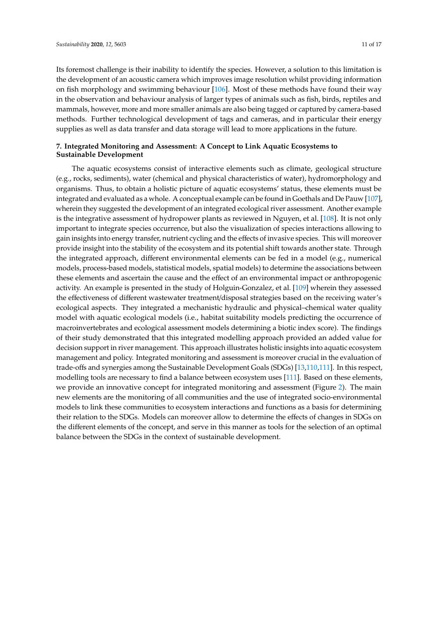Its foremost challenge is their inability to identify the species. However, a solution to this limitation is the development of an acoustic camera which improves image resolution whilst providing information on fish morphology and swimming behaviour [\[106\]](#page-16-9). Most of these methods have found their way in the observation and behaviour analysis of larger types of animals such as fish, birds, reptiles and mammals, however, more and more smaller animals are also being tagged or captured by camera-based methods. Further technological development of tags and cameras, and in particular their energy supplies as well as data transfer and data storage will lead to more applications in the future.

# **7. Integrated Monitoring and Assessment: A Concept to Link Aquatic Ecosystems to Sustainable Development**

The aquatic ecosystems consist of interactive elements such as climate, geological structure (e.g., rocks, sediments), water (chemical and physical characteristics of water), hydromorphology and organisms. Thus, to obtain a holistic picture of aquatic ecosystems' status, these elements must be integrated and evaluated as a whole. A conceptual example can be found in Goethals and De Pauw [\[107\]](#page-16-10), wherein they suggested the development of an integrated ecological river assessment. Another example is the integrative assessment of hydropower plants as reviewed in Nguyen, et al. [\[108\]](#page-16-11). It is not only important to integrate species occurrence, but also the visualization of species interactions allowing to gain insights into energy transfer, nutrient cycling and the effects of invasive species. This will moreover provide insight into the stability of the ecosystem and its potential shift towards another state. Through the integrated approach, different environmental elements can be fed in a model (e.g., numerical models, process-based models, statistical models, spatial models) to determine the associations between these elements and ascertain the cause and the effect of an environmental impact or anthropogenic activity. An example is presented in the study of Holguin-Gonzalez, et al. [\[109\]](#page-16-12) wherein they assessed the effectiveness of different wastewater treatment/disposal strategies based on the receiving water's ecological aspects. They integrated a mechanistic hydraulic and physical–chemical water quality model with aquatic ecological models (i.e., habitat suitability models predicting the occurrence of macroinvertebrates and ecological assessment models determining a biotic index score). The findings of their study demonstrated that this integrated modelling approach provided an added value for decision support in river management. This approach illustrates holistic insights into aquatic ecosystem management and policy. Integrated monitoring and assessment is moreover crucial in the evaluation of trade-offs and synergies among the Sustainable Development Goals (SDGs) [\[13,](#page-12-3)[110,](#page-16-13)[111\]](#page-16-14). In this respect, modelling tools are necessary to find a balance between ecosystem uses [\[111\]](#page-16-14). Based on these elements, we provide an innovative concept for integrated monitoring and assessment (Figure [2\)](#page-11-8). The main new elements are the monitoring of all communities and the use of integrated socio-environmental models to link these communities to ecosystem interactions and functions as a basis for determining their relation to the SDGs. Models can moreover allow to determine the effects of changes in SDGs on the different elements of the concept, and serve in this manner as tools for the selection of an optimal balance between the SDGs in the context of sustainable development.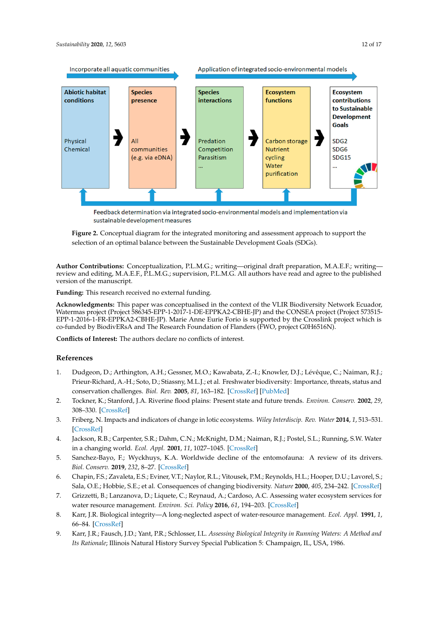<span id="page-11-8"></span>

Feedback determination via integrated socio-environmental models and implementation via sustainable development measures

**Figure 2.** Conceptual diagram for the integrated monitoring and assessment approach to support the **Figure 2.** Conceptual diagram for the integrated monitoring and assessment approach to support the selection of an optimal balance between the Sustainable Development Goals (SDGs). selection of an optimal balance between the Sustainable Development Goals (SDGs).

**Author Contributions:** Conceptualization, P.L.M.G.; writing—original draft preparation, M.A.E.F.; writing review and editing, M.A.E.F., P.L.M.G.; supervision, P.L.M.G. All authors have read and agree to the published version of the manuscript.

**Funding:** This research received no external funding.

**Acknowledgments:** This paper was conceptualised in the context of the VLIR Biodiversity Network Ecuador, Watermas project (Project 586345-EPP-1-2017-1-DE-EPPKA2-CBHE-JP) and the CONSEA project (Project 573515-EPP-1-2016-1-FR-EPPKA2-CBHE-JP). Marie Anne Eurie Forio is supported by the Crosslink project which is co-funded by BiodivERsA and The Research Foundation of Flanders (FWO, project G0H6516N).

**Conflicts of Interest:** The authors declare no conflicts of interest.

# **References**

- <span id="page-11-0"></span>1. Dudgeon, D.; Arthington, A.H.; Gessner, M.O.; Kawabata, Z.-I.; Knowler, D.J.; Lévêque, C.; Naiman, R.J.; Prieur-Richard, A.-H.; Soto, D.; Stiassny, M.L.J.; et al. Freshwater biodiversity: Importance, threats, status and conservation challenges. *Biol. Rev.* **2005**, *81*, 163–182. [\[CrossRef\]](http://dx.doi.org/10.1017/S1464793105006950) [\[PubMed\]](http://www.ncbi.nlm.nih.gov/pubmed/16336747)
- <span id="page-11-1"></span>2. Tockner, K.; Stanford, J.A. Riverine flood plains: Present state and future trends. *Environ. Conserv.* **2002**, *29*, 308–330. [\[CrossRef\]](http://dx.doi.org/10.1017/S037689290200022X)
- <span id="page-11-2"></span>3. Friberg, N. Impacts and indicators of change in lotic ecosystems. *Wiley Interdiscip. Rev. Water* **2014**, *1*, 513–531. [\[CrossRef\]](http://dx.doi.org/10.1002/wat2.1040)
- 4. Jackson, R.B.; Carpenter, S.R.; Dahm, C.N.; McKnight, D.M.; Naiman, R.J.; Postel, S.L.; Running, S.W. Water in a changing world. *Ecol. Appl.* **2001**, *11*, 1027–1045. [\[CrossRef\]](http://dx.doi.org/10.1890/1051-0761(2001)011[1027:WIACW]2.0.CO;2)
- <span id="page-11-3"></span>5. Sanchez-Bayo, F.; Wyckhuys, K.A. Worldwide decline of the entomofauna: A review of its drivers. *Biol. Conserv.* **2019**, *232*, 8–27. [\[CrossRef\]](http://dx.doi.org/10.1016/j.biocon.2019.01.020)
- <span id="page-11-4"></span>6. Chapin, F.S.; Zavaleta, E.S.; Eviner, V.T.; Naylor, R.L.; Vitousek, P.M.; Reynolds, H.L.; Hooper, D.U.; Lavorel, S.; Sala, O.E.; Hobbie, S.E.; et al. Consequences of changing biodiversity. *Nature* **2000**, *405*, 234–242. [\[CrossRef\]](http://dx.doi.org/10.1038/35012241)
- <span id="page-11-5"></span>7. Grizzetti, B.; Lanzanova, D.; Liquete, C.; Reynaud, A.; Cardoso, A.C. Assessing water ecosystem services for water resource management. *Environ. Sci. Policy* **2016**, *61*, 194–203. [\[CrossRef\]](http://dx.doi.org/10.1016/j.envsci.2016.04.008)
- <span id="page-11-6"></span>8. Karr, J.R. Biological integrity—A long-neglected aspect of water-resource management. *Ecol. Appl.* **1991**, *1*, 66–84. [\[CrossRef\]](http://dx.doi.org/10.2307/1941848)
- <span id="page-11-7"></span>9. Karr, J.R.; Fausch, J.D.; Yant, P.R.; Schlosser, I.L. *Assessing Biological Integrity in Running Waters: A Method and Its Rationale*; Illinois Natural History Survey Special Publication 5: Champaign, IL, USA, 1986.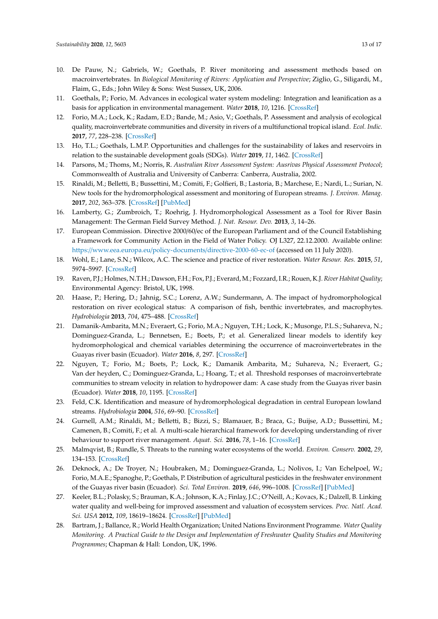- <span id="page-12-0"></span>10. De Pauw, N.; Gabriels, W.; Goethals, P. River monitoring and assessment methods based on macroinvertebrates. In *Biological Monitoring of Rivers: Application and Perspective*; Ziglio, G., Siligardi, M., Flaim, G., Eds.; John Wiley & Sons: West Sussex, UK, 2006.
- <span id="page-12-1"></span>11. Goethals, P.; Forio, M. Advances in ecological water system modeling: Integration and leanification as a basis for application in environmental management. *Water* **2018**, *10*, 1216. [\[CrossRef\]](http://dx.doi.org/10.3390/w10091216)
- <span id="page-12-2"></span>12. Forio, M.A.; Lock, K.; Radam, E.D.; Bande, M.; Asio, V.; Goethals, P. Assessment and analysis of ecological quality, macroinvertebrate communities and diversity in rivers of a multifunctional tropical island. *Ecol. Indic.* **2017**, *77*, 228–238. [\[CrossRef\]](http://dx.doi.org/10.1016/j.ecolind.2017.02.013)
- <span id="page-12-3"></span>13. Ho, T.L.; Goethals, L.M.P. Opportunities and challenges for the sustainability of lakes and reservoirs in relation to the sustainable development goals (SDGs). *Water* **2019**, *11*, 1462. [\[CrossRef\]](http://dx.doi.org/10.3390/w11071462)
- <span id="page-12-4"></span>14. Parsons, M.; Thoms, M.; Norris, R. *Australian River Assessment System: Ausrivas Physical Assessment Protocol*; Commonwealth of Australia and University of Canberra: Canberra, Australia, 2002.
- <span id="page-12-17"></span>15. Rinaldi, M.; Belletti, B.; Bussettini, M.; Comiti, F.; Golfieri, B.; Lastoria, B.; Marchese, E.; Nardi, L.; Surian, N. New tools for the hydromorphological assessment and monitoring of European streams. *J. Environ. Manag.* **2017**, *202*, 363–378. [\[CrossRef\]](http://dx.doi.org/10.1016/j.jenvman.2016.11.036) [\[PubMed\]](http://www.ncbi.nlm.nih.gov/pubmed/27889363)
- <span id="page-12-5"></span>16. Lamberty, G.; Zumbroich, T.; Roehrig, J. Hydromorphological Assessment as a Tool for River Basin Management: The German Field Survey Method. *J. Nat. Resour. Dev.* **2013**, *3*, 14–26.
- <span id="page-12-6"></span>17. European Commission. Directive 2000/60/ec of the European Parliament and of the Council Establishing a Framework for Community Action in the Field of Water Policy. OJ L327, 22.12.2000. Available online: https://www.eea.europa.eu/policy-documents/[directive-2000-60-ec-of](https://www.eea.europa.eu/policy-documents/directive-2000-60-ec-of) (accessed on 11 July 2020).
- <span id="page-12-7"></span>18. Wohl, E.; Lane, S.N.; Wilcox, A.C. The science and practice of river restoration. *Water Resour. Res.* **2015**, *51*, 5974–5997. [\[CrossRef\]](http://dx.doi.org/10.1002/2014WR016874)
- <span id="page-12-8"></span>19. Raven, P.J.; Holmes, N.T.H.; Dawson, F.H.; Fox, P.J.; Everard, M.; Fozzard, I.R.; Rouen, K.J. *River Habitat Quality*; Environmental Agency: Bristol, UK, 1998.
- 20. Haase, P.; Hering, D.; Jahnig, S.C.; Lorenz, A.W.; Sundermann, A. The impact of hydromorphological restoration on river ecological status: A comparison of fish, benthic invertebrates, and macrophytes. *Hydrobiologia* **2013**, *704*, 475–488. [\[CrossRef\]](http://dx.doi.org/10.1007/s10750-012-1255-1)
- <span id="page-12-16"></span><span id="page-12-15"></span>21. Damanik-Ambarita, M.N.; Everaert, G.; Forio, M.A.; Nguyen, T.H.; Lock, K.; Musonge, P.L.S.; Suhareva, N.; Dominguez-Granda, L.; Bennetsen, E.; Boets, P.; et al. Generalized linear models to identify key hydromorphological and chemical variables determining the occurrence of macroinvertebrates in the Guayas river basin (Ecuador). *Water* **2016**, *8*, 297. [\[CrossRef\]](http://dx.doi.org/10.3390/w8070297)
- 22. Nguyen, T.; Forio, M.; Boets, P.; Lock, K.; Damanik Ambarita, M.; Suhareva, N.; Everaert, G.; Van der heyden, C.; Dominguez-Granda, L.; Hoang, T.; et al. Threshold responses of macroinvertebrate communities to stream velocity in relation to hydropower dam: A case study from the Guayas river basin (Ecuador). *Water* **2018**, *10*, 1195. [\[CrossRef\]](http://dx.doi.org/10.3390/w10091195)
- <span id="page-12-9"></span>23. Feld, C.K. Identification and measure of hydromorphological degradation in central European lowland streams. *Hydrobiologia* **2004**, *516*, 69–90. [\[CrossRef\]](http://dx.doi.org/10.1023/B:HYDR.0000025259.01054.f2)
- <span id="page-12-10"></span>24. Gurnell, A.M.; Rinaldi, M.; Belletti, B.; Bizzi, S.; Blamauer, B.; Braca, G.; Buijse, A.D.; Bussettini, M.; Camenen, B.; Comiti, F.; et al. A multi-scale hierarchical framework for developing understanding of river behaviour to support river management. *Aquat. Sci.* **2016**, *78*, 1–16. [\[CrossRef\]](http://dx.doi.org/10.1007/s00027-015-0424-5)
- <span id="page-12-11"></span>25. Malmqvist, B.; Rundle, S. Threats to the running water ecosystems of the world. *Environ. Conserv.* **2002**, *29*, 134–153. [\[CrossRef\]](http://dx.doi.org/10.1017/S0376892902000097)
- <span id="page-12-12"></span>26. Deknock, A.; De Troyer, N.; Houbraken, M.; Dominguez-Granda, L.; Nolivos, I.; Van Echelpoel, W.; Forio, M.A.E.; Spanoghe, P.; Goethals, P. Distribution of agricultural pesticides in the freshwater environment of the Guayas river basin (Ecuador). *Sci. Total Environ.* **2019**, *646*, 996–1008. [\[CrossRef\]](http://dx.doi.org/10.1016/j.scitotenv.2018.07.185) [\[PubMed\]](http://www.ncbi.nlm.nih.gov/pubmed/30235652)
- <span id="page-12-13"></span>27. Keeler, B.L.; Polasky, S.; Brauman, K.A.; Johnson, K.A.; Finlay, J.C.; O'Neill, A.; Kovacs, K.; Dalzell, B. Linking water quality and well-being for improved assessment and valuation of ecosystem services. *Proc. Natl. Acad. Sci. USA* **2012**, *109*, 18619–18624. [\[CrossRef\]](http://dx.doi.org/10.1073/pnas.1215991109) [\[PubMed\]](http://www.ncbi.nlm.nih.gov/pubmed/23091018)
- <span id="page-12-14"></span>28. Bartram, J.; Ballance, R.; World Health Organization; United Nations Environment Programme. *Water Quality Monitoring. A Practical Guide to the Design and Implementation of Freshwater Quality Studies and Monitoring Programmes*; Chapman & Hall: London, UK, 1996.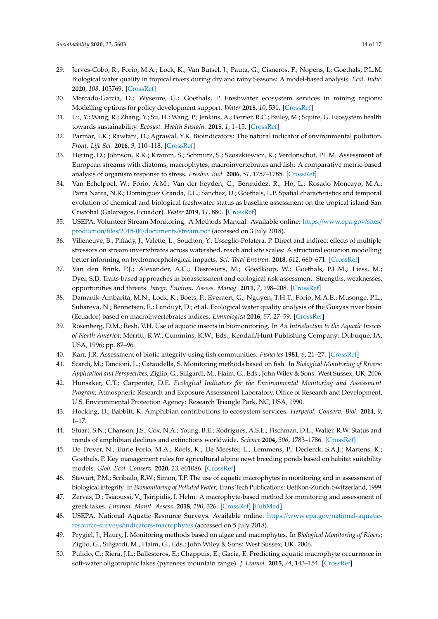- <span id="page-13-0"></span>29. Jerves-Cobo, R.; Forio, M.A.; Lock, K.; Van Butsel, J.; Pauta, G.; Cisneros, F.; Nopens, I.; Goethals, P.L.M. Biological water quality in tropical rivers during dry and rainy Seasons: A model-based analysis. *Ecol. Indic.* **2020**, *108*, 105769. [\[CrossRef\]](http://dx.doi.org/10.1016/j.ecolind.2019.105769)
- <span id="page-13-1"></span>30. Mercado-Garcia, D.; Wyseure, G.; Goethals, P. Freshwater ecosystem services in mining regions: Modelling options for policy development support. *Water* **2018**, *10*, 531. [\[CrossRef\]](http://dx.doi.org/10.3390/w10040531)
- <span id="page-13-2"></span>31. Lu, Y.; Wang, R.; Zhang, Y.; Su, H.; Wang, P.; Jenkins, A.; Ferrier, R.C.; Bailey, M.; Squire, G. Ecosystem health towards sustainability. *Ecosyst. Health Sustain.* **2015**, *1*, 1–15. [\[CrossRef\]](http://dx.doi.org/10.1890/EHS14-0013.1)
- <span id="page-13-3"></span>32. Parmar, T.K.; Rawtani, D.; Agrawal, Y.K. Bioindicators: The natural indicator of environmental pollution. *Front. Life Sci.* **2016**, *9*, 110–118. [\[CrossRef\]](http://dx.doi.org/10.1080/21553769.2016.1162753)
- <span id="page-13-4"></span>33. Hering, D.; Johnson, R.K.; Kramm, S.; Schmutz, S.; Szoszkiewicz, K.; Verdonschot, P.F.M. Assessment of European streams with diatoms, macrophytes, macroinvertebrates and fish: A comparative metric-based analysis of organism response to stress. *Freshw. Biol.* **2006**, *51*, 1757–1785. [\[CrossRef\]](http://dx.doi.org/10.1111/j.1365-2427.2006.01610.x)
- <span id="page-13-21"></span><span id="page-13-5"></span>34. Van Echelpoel, W.; Forio, A.M.; Van der heyden, C.; Bermúdez, R.; Ho, L.; Rosado Moncayo, M.A.; Parra Narea, N.R.; Dominguez Granda, E.L.; Sanchez, D.; Goethals, L.P. Spatial characteristics and temporal evolution of chemical and biological freshwater status as baseline assessment on the tropical island San Cristóbal (Galapagos, Ecuador). *Water* **2019**, *11*, 880. [\[CrossRef\]](http://dx.doi.org/10.3390/w11050880)
- <span id="page-13-6"></span>35. USEPA. Volunteer Stream Monitoring: A Methods Manual. Available online: https://[www.epa.gov](https://www.epa.gov/sites/production/files/2015-06/documents/stream.pdf)/sites/ [production](https://www.epa.gov/sites/production/files/2015-06/documents/stream.pdf)/files/2015-06/documents/stream.pdf (accessed on 3 July 2018).
- <span id="page-13-7"></span>36. Villeneuve, B.; Piffady, J.; Valette, L.; Souchon, Y.; Usseglio-Polatera, P. Direct and indirect effects of multiple stressors on stream invertebrates across watershed, reach and site scales: A structural equation modelling better informing on hydromorphological impacts. *Sci. Total Environ.* **2018**, *612*, 660–671. [\[CrossRef\]](http://dx.doi.org/10.1016/j.scitotenv.2017.08.197)
- <span id="page-13-8"></span>37. Van den Brink, P.J.; Alexander, A.C.; Desrosiers, M.; Goedkoop, W.; Goethals, P.L.M.; Liess, M.; Dyer, S.D. Traits-based approaches in bioassessment and ecological risk assessment: Strengths, weaknesses, opportunities and threats. *Integr. Environ. Assess. Manag.* **2011**, *7*, 198–208. [\[CrossRef\]](http://dx.doi.org/10.1002/ieam.109)
- 38. Damanik-Ambarita, M.N.; Lock, K.; Boets, P.; Everaert, G.; Nguyen, T.H.T.; Forio, M.A.E.; Musonge, P.L.; Suhareva, N.; Bennetsen, E.; Landuyt, D.; et al. Ecological water quality analysis of the Guayas river basin (Ecuador) based on macroinvertebrates indices. *Limnologica* **2016**, *57*, 27–59. [\[CrossRef\]](http://dx.doi.org/10.1016/j.limno.2016.01.001)
- <span id="page-13-9"></span>39. Rosenberg, D.M.; Resh, V.H. Use of aquatic insects in biomonitoring. In *An Introduction to the Aquatic Insects of North America*; Merritt, R.W., Cummins, K.W., Eds.; Kendall/Hunt Publishing Company: Dubuque, IA, USA, 1996; pp. 87–96.
- <span id="page-13-11"></span><span id="page-13-10"></span>40. Karr, J.R. Assessment of biotic integrity using fish communities. *Fisheries* **1981**, *6*, 21–27. [\[CrossRef\]](http://dx.doi.org/10.1577/1548-8446(1981)006<0021:AOBIUF>2.0.CO;2)
- 41. Scardi, M.; Tancioni, L.; Cataudella, S. Monitoring methods based on fish. In *Biological Monitoring of Rivers: Application and Perspectives*; Ziglio, G., Siligardi, M., Flaim, G., Eds.; John Wiley & Sons: West Sussex, UK, 2006.
- <span id="page-13-12"></span>42. Hunsaker, C.T.; Carpenter, D.E. *Ecological Indicators for the Environmental Monitoring and Assessment Program*; Atmospheric Research and Exposure Assessment Laboratory, Office of Research and Development, U.S. Environmental Protection Agency: Research Triangle Park, NC, USA, 1990.
- <span id="page-13-13"></span>43. Hocking, D.; Babbitt, K. Amphibian contributions to ecosystem services. *Herpetol. Conserv. Biol.* **2014**, *9*, 1–17.
- <span id="page-13-14"></span>44. Stuart, S.N.; Chanson, J.S.; Cox, N.A.; Young, B.E.; Rodrigues, A.S.L.; Fischman, D.L.; Waller, R.W. Status and trends of amphibian declines and extinctions worldwide. *Science* **2004**, *306*, 1783–1786. [\[CrossRef\]](http://dx.doi.org/10.1126/science.1103538)
- <span id="page-13-15"></span>45. De Troyer, N.; Eurie Forio, M.A.; Roels, K.; De Meester, L.; Lemmens, P.; Declerck, S.A.J.; Martens, K.; Goethals, P. Key management rules for agricultural alpine newt breeding ponds based on habitat suitability models. *Glob. Ecol. Conserv.* **2020**, *23*, e01086. [\[CrossRef\]](http://dx.doi.org/10.1016/j.gecco.2020.e01086)
- <span id="page-13-16"></span>46. Stewart, P.M.; Scribailo, R.W.; Simon, T.P. The use of aquatic macrophytes in monitoring and in assessment of biological integrity. In *Biomonitoring of Polluted Water*; Trans Tech Publications: Uetikon-Zurich, Switzerland, 1999.
- <span id="page-13-18"></span>47. Zervas, D.; Tsiaoussi, V.; Tsiripidis, I. Helm: A macrophyte-based method for monitoring and assessment of greek lakes. *Environ. Monit. Assess.* **2018**, *190*, 326. [\[CrossRef\]](http://dx.doi.org/10.1007/s10661-018-6708-1) [\[PubMed\]](http://www.ncbi.nlm.nih.gov/pubmed/29728775)
- <span id="page-13-17"></span>48. USEPA. National Aquatic Resource Surveys. Available online: https://www.epa.gov/[national-aquatic](https://www.epa.gov/national-aquatic-resource-surveys/indicators-macrophytes)resource-surveys/[indicators-macrophytes](https://www.epa.gov/national-aquatic-resource-surveys/indicators-macrophytes) (accessed on 5 July 2018).
- <span id="page-13-19"></span>49. Prygiel, J.; Haury, J. Monitoring methods based on algae and macrophytes. In *Biological Monitoring of Rivers*; Ziglio, G., Siligardi, M., Flaim, G., Eds.; John Wiley & Sons: West Sussex, UK, 2006.
- <span id="page-13-20"></span>50. Pulido, C.; Riera, J.L.; Ballesteros, E.; Chappuis, E.; Gacia, E. Predicting aquatic macrophyte occurrence in soft-water oligotrophic lakes (pyrenees mountain range). *J. Limnol.* **2015**, *74*, 143–154. [\[CrossRef\]](http://dx.doi.org/10.4081/jlimnol.2014.965)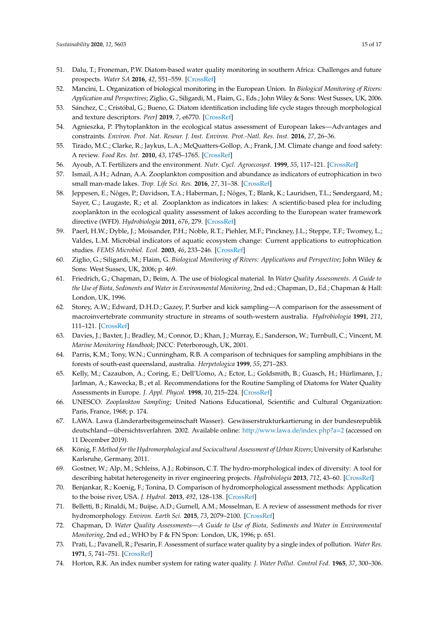- <span id="page-14-0"></span>51. Dalu, T.; Froneman, P.W. Diatom-based water quality monitoring in southern Africa: Challenges and future prospects. *Water SA* **2016**, *42*, 551–559. [\[CrossRef\]](http://dx.doi.org/10.4314/wsa.v42i4.05)
- <span id="page-14-10"></span><span id="page-14-1"></span>52. Mancini, L. Organization of biological monitoring in the European Union. In *Biological Monitoring of Rivers: Application and Perspectives*; Ziglio, G., Siligardi, M., Flaim, G., Eds.; John Wiley & Sons: West Sussex, UK, 2006.
- <span id="page-14-2"></span>53. Sánchez, C.; Cristóbal, G.; Bueno, G. Diatom identification including life cycle stages through morphological and texture descriptors. *PeerJ* **2019**, *7*, e6770. [\[CrossRef\]](http://dx.doi.org/10.7717/peerj.6770)
- <span id="page-14-11"></span><span id="page-14-3"></span>54. Agnieszka, P. Phytoplankton in the ecological status assessment of European lakes—Advantages and constraints. *Environ. Prot. Nat. Resour. J. Inst. Environ. Prot.-Natl. Res. Inst.* **2016**, *27*, 26–36.
- <span id="page-14-12"></span><span id="page-14-4"></span>55. Tirado, M.C.; Clarke, R.; Jaykus, L.A.; McQuatters-Gollop, A.; Frank, J.M. Climate change and food safety: A review. *Food Res. Int.* **2010**, *43*, 1745–1765. [\[CrossRef\]](http://dx.doi.org/10.1016/j.foodres.2010.07.003)
- <span id="page-14-13"></span><span id="page-14-5"></span>56. Ayoub, A.T. Fertilizers and the environment. *Nutr. Cycl. Agroecosyst.* **1999**, *55*, 117–121. [\[CrossRef\]](http://dx.doi.org/10.1023/A:1009808118692)
- <span id="page-14-6"></span>57. Ismail, A.H.; Adnan, A.A. Zooplankton composition and abundance as indicators of eutrophication in two small man-made lakes. *Trop. Life Sci. Res.* **2016**, *27*, 31–38. [\[CrossRef\]](http://dx.doi.org/10.21315/tlsr2016.27.3.5)
- <span id="page-14-14"></span><span id="page-14-7"></span>58. Jeppesen, E.; Nõges, P.; Davidson, T.A.; Haberman, J.; Nõges, T.; Blank, K.; Lauridsen, T.L.; Søndergaard, M.; Sayer, C.; Laugaste, R.; et al. Zooplankton as indicators in lakes: A scientific-based plea for including zooplankton in the ecological quality assessment of lakes according to the European water framework directive (WFD). *Hydrobiologia* **2011**, *676*, 279. [\[CrossRef\]](http://dx.doi.org/10.1007/s10750-011-0831-0)
- <span id="page-14-15"></span><span id="page-14-8"></span>59. Paerl, H.W.; Dyble, J.; Moisander, P.H.; Noble, R.T.; Piehler, M.F.; Pinckney, J.L.; Steppe, T.F.; Twomey, L.; Valdes, L.M. Microbial indicators of aquatic ecosystem change: Current applications to eutrophication studies. *FEMS Microbiol. Ecol.* **2003**, *46*, 233–246. [\[CrossRef\]](http://dx.doi.org/10.1016/S0168-6496(03)00200-9)
- <span id="page-14-9"></span>60. Ziglio, G.; Siligardi, M.; Flaim, G. *Biological Monitoring of Rivers: Applications and Perspective*; John Wiley & Sons: West Sussex, UK, 2006; p. 469.
- 61. Friedrich, G.; Chapman, D.; Beim, A. The use of biological material. In *Water Quality Assessments. A Guide to the Use of Biota, Sediments and Water in Environmental Monitoring*, 2nd ed.; Chapman, D., Ed.; Chapman & Hall: London, UK, 1996.
- 62. Storey, A.W.; Edward, D.H.D.; Gazey, P. Surber and kick sampling—A comparison for the assessment of macroinvertebrate community structure in streams of south-western australia. *Hydrobiologia* **1991**, *211*, 111–121. [\[CrossRef\]](http://dx.doi.org/10.1007/BF00037367)
- 63. Davies, J.; Baxter, J.; Bradley, M.; Connor, D.; Khan, J.; Murray, E.; Sanderson, W.; Turnbull, C.; Vincent, M. *Marine Monitoring Handbook*; JNCC: Peterborough, UK, 2001.
- 64. Parris, K.M.; Tony, W.N.; Cunningham, R.B. A comparison of techniques for sampling amphibians in the forests of south-east queensland, australia. *Herpetologica* **1999**, *55*, 271–283.
- 65. Kelly, M.; Cazaubon, A.; Coring, E.; Dell'Uomo, A.; Ector, L.; Goldsmith, B.; Guasch, H.; Hürlimann, J.; Jarlman, A.; Kawecka, B.; et al. Recommendations for the Routine Sampling of Diatoms for Water Quality Assessments in Europe. *J. Appl. Phycol.* **1998**, *10*, 215–224. [\[CrossRef\]](http://dx.doi.org/10.1023/A:1008033201227)
- 66. UNESCO. *Zooplankton Sampling*; United Nations Educational, Scientific and Cultural Organization: Paris, France, 1968; p. 174.
- <span id="page-14-16"></span>67. LAWA. Lawa (Länderarbeitsgemeinschaft Wasser). Gewässerstrukturkartierung in der bundesrepublik deutschland—übersichtsverfahren. 2002. Available online: http://[www.lawa.de](http://www.lawa.de/index.php?a=2)/index.php?a=2 (accessed on 11 December 2019).
- <span id="page-14-17"></span>68. König, F. *Method for the Hydromorphological and Sociocultural Assessment of Urban Rivers*; University of Karlsruhe: Karlsruhe, Germany, 2011.
- <span id="page-14-18"></span>69. Gostner, W.; Alp, M.; Schleiss, A.J.; Robinson, C.T. The hydro-morphological index of diversity: A tool for describing habitat heterogeneity in river engineering projects. *Hydrobiologia* **2013**, *712*, 43–60. [\[CrossRef\]](http://dx.doi.org/10.1007/s10750-012-1288-5)
- <span id="page-14-19"></span>70. Benjankar, R.; Koenig, F.; Tonina, D. Comparison of hydromorphological assessment methods: Application to the boise river, USA. *J. Hydrol.* **2013**, *492*, 128–138. [\[CrossRef\]](http://dx.doi.org/10.1016/j.jhydrol.2013.03.017)
- <span id="page-14-20"></span>71. Belletti, B.; Rinaldi, M.; Buijse, A.D.; Gurnell, A.M.; Mosselman, E. A review of assessment methods for river hydromorphology. *Environ. Earth Sci.* **2015**, *73*, 2079–2100. [\[CrossRef\]](http://dx.doi.org/10.1007/s12665-014-3558-1)
- <span id="page-14-21"></span>72. Chapman, D. *Water Quality Assessments—A Guide to Use of Biota, Sediments and Water in Environmental Monitoring*, 2nd ed.; WHO by F & FN Spon: London, UK, 1996; p. 651.
- <span id="page-14-22"></span>73. Prati, L.; Pavanell, R.; Pesarin, F. Assessment of surface water quality by a single index of pollution. *Water Res.* **1971**, *5*, 741–751. [\[CrossRef\]](http://dx.doi.org/10.1016/0043-1354(71)90097-2)
- <span id="page-14-23"></span>74. Horton, R.K. An index number system for rating water quality. *J. Water Pollut. Control Fed.* **1965**, *37*, 300–306.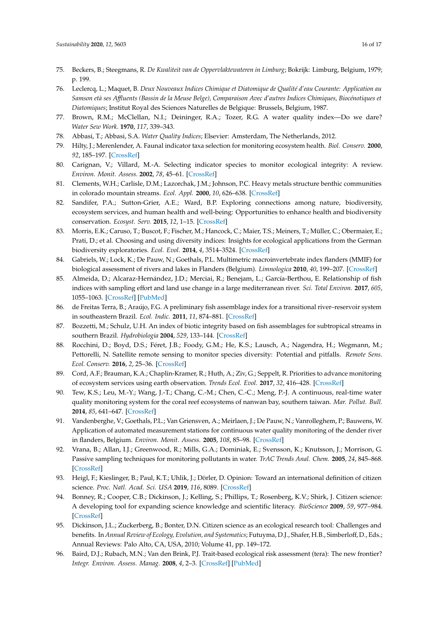- <span id="page-15-0"></span>75. Beckers, B.; Steegmans, R. *De Kwaliteit van de Oppervlaktewateren in Limburg*; Bokrijk: Limburg, Belgium, 1979; p. 199.
- <span id="page-15-1"></span>76. Leclercq, L.; Maquet, B. *Deux Nouveaux Indices Chimique et Diatomique de Qualité d'eau Courante: Application au Samson età ses A*ffl*uents (Bassin de la Meuse Belge), Comparaison Avec d'autres Indices Chimiques, Biocénotiques et Diatomiques*; Institut Royal des Sciences Naturelles de Belgique: Brussels, Belgium, 1987.
- <span id="page-15-2"></span>77. Brown, R.M.; McClellan, N.I.; Deininger, R.A.; Tozer, R.G. A water quality index—Do we dare? *Water Sew Work.* **1970**, *117*, 339–343.
- <span id="page-15-4"></span><span id="page-15-3"></span>78. Abbasi, T.; Abbasi, S.A. *Water Quality Indices*; Elsevier: Amsterdam, The Netherlands, 2012.
- 79. Hilty, J.; Merenlender, A. Faunal indicator taxa selection for monitoring ecosystem health. *Biol. Conserv.* **2000**, *92*, 185–197. [\[CrossRef\]](http://dx.doi.org/10.1016/S0006-3207(99)00052-X)
- <span id="page-15-5"></span>80. Carignan, V.; Villard, M.-A. Selecting indicator species to monitor ecological integrity: A review. *Environ. Monit. Assess.* **2002**, *78*, 45–61. [\[CrossRef\]](http://dx.doi.org/10.1023/A:1016136723584)
- <span id="page-15-6"></span>81. Clements, W.H.; Carlisle, D.M.; Lazorchak, J.M.; Johnson, P.C. Heavy metals structure benthic communities in colorado mountain streams. *Ecol. Appl.* **2000**, *10*, 626–638. [\[CrossRef\]](http://dx.doi.org/10.1890/1051-0761(2000)010[0626:HMSBCI]2.0.CO;2)
- <span id="page-15-7"></span>82. Sandifer, P.A.; Sutton-Grier, A.E.; Ward, B.P. Exploring connections among nature, biodiversity, ecosystem services, and human health and well-being: Opportunities to enhance health and biodiversity conservation. *Ecosyst. Serv.* **2015**, *12*, 1–15. [\[CrossRef\]](http://dx.doi.org/10.1016/j.ecoser.2014.12.007)
- <span id="page-15-8"></span>83. Morris, E.K.; Caruso, T.; Buscot, F.; Fischer, M.; Hancock, C.; Maier, T.S.; Meiners, T.; Müller, C.; Obermaier, E.; Prati, D.; et al. Choosing and using diversity indices: Insights for ecological applications from the German biodiversity exploratories. *Ecol. Evol.* **2014**, *4*, 3514–3524. [\[CrossRef\]](http://dx.doi.org/10.1002/ece3.1155)
- <span id="page-15-9"></span>84. Gabriels, W.; Lock, K.; De Pauw, N.; Goethals, P.L. Multimetric macroinvertebrate index flanders (MMIF) for biological assessment of rivers and lakes in Flanders (Belgium). *Limnologica* **2010**, *40*, 199–207. [\[CrossRef\]](http://dx.doi.org/10.1016/j.limno.2009.10.001)
- <span id="page-15-10"></span>85. Almeida, D.; Alcaraz-Hernández, J.D.; Merciai, R.; Benejam, L.; García-Berthou, E. Relationship of fish indices with sampling effort and land use change in a large mediterranean river. *Sci. Total Environ.* **2017**, *605*, 1055–1063. [\[CrossRef\]](http://dx.doi.org/10.1016/j.scitotenv.2017.06.025) [\[PubMed\]](http://www.ncbi.nlm.nih.gov/pubmed/28709371)
- <span id="page-15-11"></span>86. de Freitas Terra, B.; Araújo, F.G. A preliminary fish assemblage index for a transitional river–reservoir system in southeastern Brazil. *Ecol. Indic.* **2011**, *11*, 874–881. [\[CrossRef\]](http://dx.doi.org/10.1016/j.ecolind.2010.11.006)
- <span id="page-15-12"></span>87. Bozzetti, M.; Schulz, U.H. An index of biotic integrity based on fish assemblages for subtropical streams in southern Brazil. *Hydrobiologia* **2004**, *529*, 133–144. [\[CrossRef\]](http://dx.doi.org/10.1007/s10750-004-5738-6)
- <span id="page-15-13"></span>88. Rocchini, D.; Boyd, D.S.; Féret, J.B.; Foody, G.M.; He, K.S.; Lausch, A.; Nagendra, H.; Wegmann, M.; Pettorelli, N. Satellite remote sensing to monitor species diversity: Potential and pitfalls. *Remote Sens. Ecol. Conserv.* **2016**, *2*, 25–36. [\[CrossRef\]](http://dx.doi.org/10.1002/rse2.9)
- <span id="page-15-14"></span>89. Cord, A.F.; Brauman, K.A.; Chaplin-Kramer, R.; Huth, A.; Ziv, G.; Seppelt, R. Priorities to advance monitoring of ecosystem services using earth observation. *Trends Ecol. Evol.* **2017**, *32*, 416–428. [\[CrossRef\]](http://dx.doi.org/10.1016/j.tree.2017.03.003)
- <span id="page-15-15"></span>90. Tew, K.S.; Leu, M.-Y.; Wang, J.-T.; Chang, C.-M.; Chen, C.-C.; Meng, P.-J. A continuous, real-time water quality monitoring system for the coral reef ecosystems of nanwan bay, southern taiwan. *Mar. Pollut. Bull.* **2014**, *85*, 641–647. [\[CrossRef\]](http://dx.doi.org/10.1016/j.marpolbul.2013.11.022)
- <span id="page-15-16"></span>91. Vandenberghe, V.; Goethals, P.L.; Van Griensven, A.; Meirlaen, J.; De Pauw, N.; Vanrolleghem, P.; Bauwens, W. Application of automated measurement stations for continuous water quality monitoring of the dender river in flanders, Belgium. *Environ. Monit. Assess.* **2005**, *108*, 85–98. [\[CrossRef\]](http://dx.doi.org/10.1007/s10661-005-3964-7)
- <span id="page-15-17"></span>92. Vrana, B.; Allan, I.J.; Greenwood, R.; Mills, G.A.; Dominiak, E.; Svensson, K.; Knutsson, J.; Morrison, G. Passive sampling techniques for monitoring pollutants in water. *TrAC Trends Anal. Chem.* **2005**, *24*, 845–868. [\[CrossRef\]](http://dx.doi.org/10.1016/j.trac.2005.06.006)
- <span id="page-15-18"></span>93. Heigl, F.; Kieslinger, B.; Paul, K.T.; Uhlik, J.; Dörler, D. Opinion: Toward an international definition of citizen science. *Proc. Natl. Acad. Sci. USA* **2019**, *116*, 8089. [\[CrossRef\]](http://dx.doi.org/10.1073/pnas.1903393116)
- <span id="page-15-19"></span>94. Bonney, R.; Cooper, C.B.; Dickinson, J.; Kelling, S.; Phillips, T.; Rosenberg, K.V.; Shirk, J. Citizen science: A developing tool for expanding science knowledge and scientific literacy. *BioScience* **2009**, *59*, 977–984. [\[CrossRef\]](http://dx.doi.org/10.1525/bio.2009.59.11.9)
- <span id="page-15-20"></span>95. Dickinson, J.L.; Zuckerberg, B.; Bonter, D.N. Citizen science as an ecological research tool: Challenges and benefits. In *Annual Review of Ecology, Evolution, and Systematics*; Futuyma, D.J., Shafer, H.B., Simberloff, D., Eds.; Annual Reviews: Palo Alto, CA, USA, 2010; Volume 41, pp. 149–172.
- <span id="page-15-21"></span>96. Baird, D.J.; Rubach, M.N.; Van den Brink, P.J. Trait-based ecological risk assessment (tera): The new frontier? *Integr. Environ. Assess. Manag.* **2008**, *4*, 2–3. [\[CrossRef\]](http://dx.doi.org/10.1897/IEAM_2007-063.1) [\[PubMed\]](http://www.ncbi.nlm.nih.gov/pubmed/18260202)